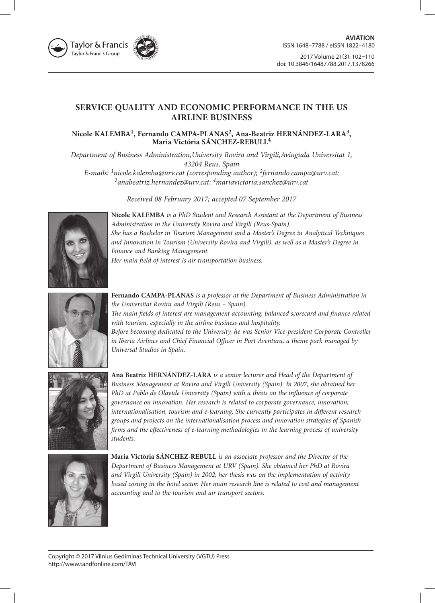

# **SERVICE QUALITY AND ECONOMIC PERFORMANCE IN THE US AIRLINE BUSINESS**

# **Nicole KALEMBA1, Fernando CAMPA-PLANAS2, Ana-Beatriz HERNÁNDEZ-LARA3, Maria Victória SÁNCHEZ-REBULL<sup>4</sup>**

*Department of Business Administration,University Rovira and Virgili,Avinguda Universitat 1, 43204 Reus, Spain*

*E-mails: 1nicole.kalemba@urv.cat (corresponding author); 2fernando.campa@urv.cat; 3anabeatriz.hernandez@urv.cat; 4mariavictoria.sanchez@urv.cat*

*Received 08 February 2017; accepted 07 September 2017*



**Nicole KALEMBA** *is a PhD Student and Research Assistant at the Department of Business Administration in the University Rovira and Virgili (Reus-Spain). She has a Bachelor in Tourism Management and a Master's Degree in Analytical Techniques and Innovation in Tourism (University Rovira and Virgili), as well as a Master's Degree in Finance and Banking Management.*

*Her main field of interest is air transportation business.*



**Fernando CAMPA-PLANAS** *is a professor at the Department of Business Administration in the Universitat Rovira and Virgili (Reus – Spain).*

*The main fields of interest are management accounting, balanced scorecard and finance related with tourism, especially in the airline business and hospitality.*

*Before becoming dedicated to the University, he was Senior Vice-president Corporate Controller in Iberia Airlines and Chief Financial Officer in Port Aventura, a theme park managed by Universal Studios in Spain.*



**Ana Beatriz HERNÁNDEZ-LARA** *is a senior lecturer and Head of the Department of Business Management at Rovira and Virgili University (Spain). In 2007, she obtained her PhD at Pablo de Olavide University (Spain) with a thesis on the influence of corporate governance on innovation. Her research is related to corporate governance, innovation, internationalisation, tourism and e-learning. She currently participates in different research groups and projects on the internationalisation process and innovation strategies of Spanish firms and the effectiveness of e-learning methodologies in the learning process of university students.*



**Maria Victòria SÁNCHEZ-REBULL** *is an associate professor and the Director of the Department of Business Management at URV (Spain). She obtained her PhD at Rovira and Virgili University (Spain) in 2002; her thesis was on the implementation of activity*  based costing in the hotel sector. Her main research line is related to cost and management *accounting and to the tourism and air transport sectors.*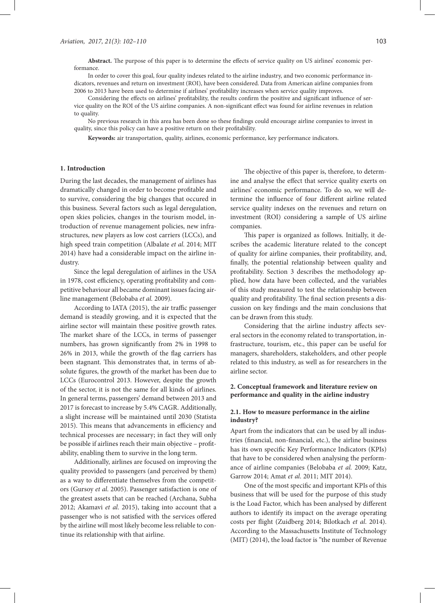**Abstract.** The purpose of this paper is to determine the effects of service quality on US airlines' economic performance.

In order to cover this goal, four quality indexes related to the airline industry, and two economic performance indicators, revenues and return on investment (ROI), have been considered. Data from American airline companies from 2006 to 2013 have been used to determine if airlines' profitability increases when service quality improves.

Considering the effects on airlines' profitability, the results confirm the positive and significant influence of service quality on the ROI of the US airline companies. A non-significant effect was found for airline revenues in relation to quality.

No previous research in this area has been done so these findings could encourage airline companies to invest in quality, since this policy can have a positive return on their profitability.

**Keywords:** air transportation, quality, airlines, economic performance, key performance indicators.

#### **1. Introduction**

During the last decades, the management of airlines has dramatically changed in order to become profitable and to survive, considering the big changes that occured in this business. Several factors such as legal deregulation, open skies policies, changes in the tourism model, introduction of revenue management policies, new infrastructures, new players as low cost carriers (LCCs), and high speed train competition (Albalate *et al*. 2014; MIT 2014) have had a considerable impact on the airline industry.

Since the legal deregulation of airlines in the USA in 1978, cost efficiency, operating profitability and competitive behaviour all became dominant issues facing airline management (Belobaba *et al.* 2009).

According to IATA (2015), the air traffic passenger demand is steadily growing, and it is expected that the airline sector will maintain these positive growth rates. The market share of the LCCs, in terms of passenger numbers, has grown significantly from 2% in 1998 to 26% in 2013, while the growth of the flag carriers has been stagnant. This demonstrates that, in terms of absolute figures, the growth of the market has been due to LCCs (Eurocontrol 2013. However, despite the growth of the sector, it is not the same for all kinds of airlines. In general terms, passengers' demand between 2013 and 2017 is forecast to increase by 5.4% CAGR. Additionally, a slight increase will be maintained until 2030 (Statista 2015). This means that advancements in efficiency and technical processes are necessary; in fact they will only be possible if airlines reach their main objective – profitability, enabling them to survive in the long term.

Additionally, airlines are focused on improving the quality provided to passengers (and perceived by them) as a way to differentiate themselves from the competitors (Gursoy *et al*. 2005). Passenger satisfaction is one of the greatest assets that can be reached (Archana, Subha 2012; Akamavi *et al*. 2015), taking into account that a passenger who is not satisfied with the services offered by the airline will most likely become less reliable to continue its relationship with that airline.

The objective of this paper is, therefore, to determine and analyse the effect that service quality exerts on airlines' economic performance. To do so, we will determine the influence of four different airline related service quality indexes on the revenues and return on investment (ROI) considering a sample of US airline companies.

This paper is organized as follows. Initially, it describes the academic literature related to the concept of quality for airline companies, their profitability, and, finally, the potential relationship between quality and profitability. Section 3 describes the methodology applied, how data have been collected, and the variables of this study measured to test the relationship between quality and profitability. The final section presents a discussion on key findings and the main conclusions that can be drawn from this study.

Considering that the airline industry affects several sectors in the economy related to transportation, infrastructure, tourism, etc., this paper can be useful for managers, shareholders, stakeholders, and other people related to this industry, as well as for researchers in the airline sector.

# **2. Conceptual framework and literature review on performance and quality in the airline industry**

## **2.1. How to measure performance in the airline industry?**

Apart from the indicators that can be used by all industries (financial, non-financial, etc.), the airline business has its own specific Key Performance Indicators (KPIs) that have to be considered when analysing the performance of airline companies (Belobaba *et al.* 2009; Katz, Garrow 2014; Amat *et al*. 2011; MIT 2014).

One of the most specific and important KPIs of this business that will be used for the purpose of this study is the Load Factor, which has been analysed by different authors to identify its impact on the average operating costs per flight (Zuidberg 2014; Bilotkach *et al*. 2014). According to the Massachusetts Institute of Technology (MIT) (2014), the load factor is "the number of Revenue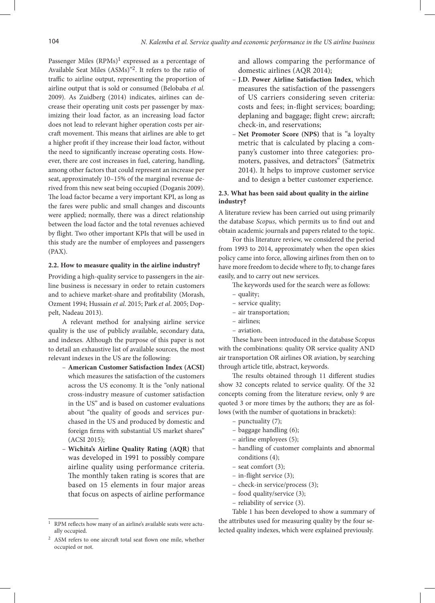Passenger Miles  $(RPMs)^1$  expressed as a percentage of Available Seat Miles (ASMs)"2. It refers to the ratio of traffic to airline output, representing the proportion of airline output that is sold or consumed (Belobaba *et al.* 2009). As Zuidberg (2014) indicates, airlines can decrease their operating unit costs per passenger by maximizing their load factor, as an increasing load factor does not lead to relevant higher operation costs per aircraft movement. This means that airlines are able to get a higher profit if they increase their load factor, without the need to significantly increase operating costs. However, there are cost increases in fuel, catering, handling, among other factors that could represent an increase per seat, approximately 10–15% of the marginal revenue derived from this new seat being occupied (Doganis 2009). The load factor became a very important KPI, as long as the fares were public and small changes and discounts were applied; normally, there was a direct relationship between the load factor and the total revenues achieved by flight. Two other important KPIs that will be used in this study are the number of employees and passengers (PAX).

### **2.2. How to measure quality in the airline industry?**

Providing a high-quality service to passengers in the airline business is necessary in order to retain customers and to achieve market-share and profitability (Morash, Ozment 1994; Hussain *et al*. 2015; Park *et al*. 2005; Doppelt, Nadeau 2013).

A relevant method for analysing airline service quality is the use of publicly available, secondary data, and indexes. Although the purpose of this paper is not to detail an exhaustive list of available sources, the most relevant indexes in the US are the following:

- **American Customer Satisfaction Index (ACSI)** which measures the satisfaction of the customers across the US economy. It is the "only national cross-industry measure of customer satisfaction in the US" and is based on customer evaluations about "the quality of goods and services purchased in the US and produced by domestic and foreign firms with substantial US market shares" (ACSI 2015);
- **Wichita's Airline Quality Rating (AQR)** that was developed in 1991 to possibly compare airline quality using performance criteria. The monthly taken rating is scores that are based on 15 elements in four major areas that focus on aspects of airline performance

and allows comparing the performance of domestic airlines (AQR 2014);

- **J.D. Power Airline Satisfaction Index**, which measures the satisfaction of the passengers of US carriers considering seven criteria: costs and fees; in-flight services; boarding; deplaning and baggage; flight crew; aircraft; check-in, and reservations;
- **Net Promoter Score (NPS)** that is "a loyalty metric that is calculated by placing a company's customer into three categories: promoters, passives, and detractors" (Satmetrix 2014). It helps to improve customer service and to design a better customer experience.

# **2.3. What has been said about quality in the airline industry?**

A literature review has been carried out using primarily the database *Scopus*, which permits us to find out and obtain academic journals and papers related to the topic.

For this literature review, we considered the period from 1993 to 2014, approximately when the open skies policy came into force, allowing airlines from then on to have more freedom to decide where to fly, to change fares easily, and to carry out new services.

The keywords used for the search were as follows:

- quality;
- service quality;
- air transportation;
- airlines;
- aviation.

These have been introduced in the database Scopus with the combinations: quality OR service quality AND air transportation OR airlines OR aviation, by searching through article title, abstract, keywords.

The results obtained through 11 different studies show 32 concepts related to service quality. Of the 32 concepts coming from the literature review, only 9 are quoted 3 or more times by the authors; they are as follows (with the number of quotations in brackets):

- punctuality (7);
- baggage handling (6);
- airline employees (5);
- handling of customer complaints and abnormal conditions (4);
- seat comfort (3);
- in-flight service (3);
- check-in service/process (3);
- food quality/service (3);
- reliability of service (3).

Table 1 has been developed to show a summary of the attributes used for measuring quality by the four selected quality indexes, which were explained previously.

RPM reflects how many of an airline's available seats were actually occupied.

<sup>2</sup> ASM refers to one aircraft total seat flown one mile, whether occupied or not.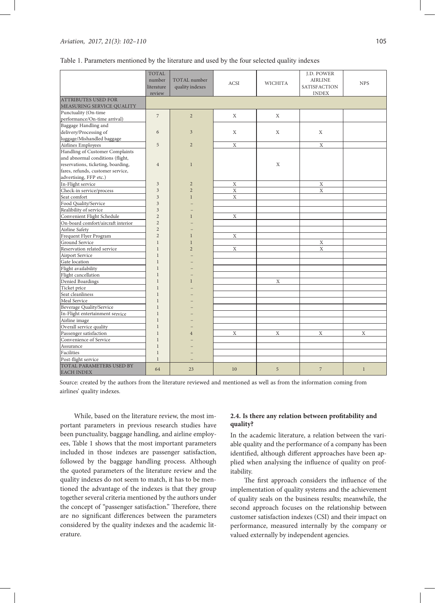#### *Aviation, 2017, 21(3): 102–110* 105

|                                    | <b>TOTAL</b><br>number<br>literature<br>review | TOTAL number<br>quality indexes | <b>ACSI</b> | WICHITA     | J.D. POWER<br><b>AIRLINE</b><br>SATISFACTION<br><b>INDEX</b> | <b>NPS</b>   |
|------------------------------------|------------------------------------------------|---------------------------------|-------------|-------------|--------------------------------------------------------------|--------------|
| <b>ATTRIBUTES USED FOR</b>         |                                                |                                 |             |             |                                                              |              |
| MEASURING SERVICE QUALITY          |                                                |                                 |             |             |                                                              |              |
| Punctuality (On-time               |                                                |                                 |             |             |                                                              |              |
| performance/On-time arrival)       | $\sqrt{ }$                                     | $\overline{2}$                  | X           | X           |                                                              |              |
| Baggage Handling and               |                                                |                                 |             |             |                                                              |              |
| delivery/Processing of             | 6                                              | $\overline{3}$                  | X           | $\mathbf X$ | $\mathbf X$                                                  |              |
| luggage/Mishandled baggage         |                                                |                                 |             |             |                                                              |              |
| Airlines Employees                 | 5                                              | $\overline{2}$                  | $\mathbf X$ |             | $\mathbf X$                                                  |              |
| Handling of Customer Complaints    |                                                |                                 |             |             |                                                              |              |
| and abnormal conditions (flight,   |                                                |                                 |             |             |                                                              |              |
| reservations, ticketing, boarding, | $\overline{4}$                                 | $\mathbf{1}$                    |             | X           |                                                              |              |
| fares, refunds, customer service,  |                                                |                                 |             |             |                                                              |              |
| advertising, FFP etc.)             |                                                |                                 |             |             |                                                              |              |
| In-Flight service                  | 3                                              | $\overline{2}$                  | X           |             | X                                                            |              |
| Check-in service/process           | $\overline{\mathbf{3}}$                        | $\overline{2}$                  | $\mathbf X$ |             | $\mathbf X$                                                  |              |
| Seat comfort                       | 3                                              | $\mathbf{1}$                    | $\mathbf X$ |             |                                                              |              |
| Food Quality/Service               | 3                                              |                                 |             |             |                                                              |              |
| Realibility of service             | 3                                              |                                 |             |             |                                                              |              |
| Convenient Flight Schedule         | $\overline{2}$                                 | $\mathbf{1}$                    | X           |             |                                                              |              |
| On-board comfort/aircraft interior | $\overline{2}$                                 |                                 |             |             |                                                              |              |
| Airline Safety                     | $\overline{2}$                                 |                                 |             |             |                                                              |              |
| Frequent Flyer Program             | $\overline{2}$                                 | $\mathbf{1}$                    | $\mathbf X$ |             |                                                              |              |
| Ground Service                     | $\mathbf{1}$                                   |                                 |             |             | $\mathbf X$                                                  |              |
| Reservation related service        | $\mathbf{1}$                                   | $\overline{2}$                  | X           |             | $\mathbf X$                                                  |              |
| Airport Service                    | 1                                              |                                 |             |             |                                                              |              |
| Gate location                      | $\mathbf{1}$                                   |                                 |             |             |                                                              |              |
| Flight availability                | $\mathbf{1}$                                   |                                 |             |             |                                                              |              |
| Flight cancellation                | 1                                              |                                 |             |             |                                                              |              |
| Denied Boardings                   | $\mathbf{1}$                                   | $\mathbf{1}$                    |             | $\mathbf X$ |                                                              |              |
| Ticket price                       | $\mathbf{1}$                                   |                                 |             |             |                                                              |              |
| Seat cleanliness                   | $\mathbf 1$                                    |                                 |             |             |                                                              |              |
| Meal Service                       | $\mathbf{1}$                                   |                                 |             |             |                                                              |              |
| Beverage Quality/Service           | $\mathbf{1}$                                   |                                 |             |             |                                                              |              |
| In-Flight entertainment service    | $\mathbf{1}$                                   |                                 |             |             |                                                              |              |
| Airline image                      | $\mathbf{1}$                                   |                                 |             |             |                                                              |              |
| Overall service quality            | $\mathbf{1}$                                   |                                 |             |             |                                                              |              |
| Passenger satisfaction             | $\mathbf{1}$                                   | $\overline{4}$                  | $\mathbf X$ | $\mathbf X$ | $\mathbf X$                                                  | $\mathbf X$  |
| Convenience of Service             | $\mathbf{1}$                                   |                                 |             |             |                                                              |              |
| Assurance                          | 1                                              |                                 |             |             |                                                              |              |
| Facilities                         | $\mathbf{1}$                                   |                                 |             |             |                                                              |              |
| Post-flight service                | $\mathbf{1}$                                   |                                 |             |             |                                                              |              |
| TOTAL PARAMETERS USED BY           | 64                                             | 23                              | 10          | 5           | $\overline{7}$                                               | $\mathbf{1}$ |
| <b>EACH INDEX</b>                  |                                                |                                 |             |             |                                                              |              |

| Table 1. Parameters mentioned by the literature and used by the four selected quality indexes |  |  |
|-----------------------------------------------------------------------------------------------|--|--|
|-----------------------------------------------------------------------------------------------|--|--|

Source: created by the authors from the literature reviewed and mentioned as well as from the information coming from airlines' quality indexes.

While, based on the literature review, the most important parameters in previous research studies have been punctuality, baggage handling, and airline employees, Table 1 shows that the most important parameters included in those indexes are passenger satisfaction, followed by the baggage handling process. Although the quoted parameters of the literature review and the quality indexes do not seem to match, it has to be mentioned the advantage of the indexes is that they group together several criteria mentioned by the authors under the concept of "passenger satisfaction." Therefore, there are no significant differences between the parameters considered by the quality indexes and the academic literature.

# **2.4. Is there any relation between profitability and quality?**

In the academic literature, a relation between the variable quality and the performance of a company has been identified, although different approaches have been applied when analysing the influence of quality on profitability.

The first approach considers the influence of the implementation of quality systems and the achievement of quality seals on the business results; meanwhile, the second approach focuses on the relationship between customer satisfaction indexes (CSI) and their impact on performance, measured internally by the company or valued externally by independent agencies.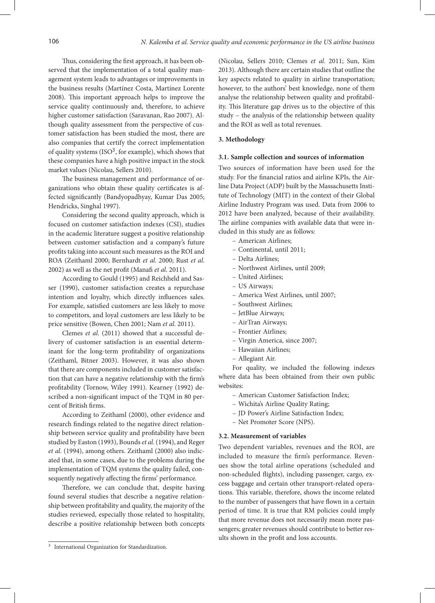Thus, considering the first approach, it has been observed that the implementation of a total quality management system leads to advantages or improvements in the business results (Martínez Costa, Martínez Lorente 2008). This important approach helps to improve the service quality continuously and, therefore, to achieve higher customer satisfaction (Saravanan, Rao 2007). Although quality assessment from the perspective of customer satisfaction has been studied the most, there are also companies that certify the correct implementation of quality systems  $(ISO^3, for example)$ , which shows that these companies have a high positive impact in the stock market values (Nicolau, Sellers 2010).

The business management and performance of organizations who obtain these quality certificates is affected significantly (Bandyopadhyay, Kumar Das 2005; Hendricks, Singhal 1997).

Considering the second quality approach, which is focused on customer satisfaction indexes (CSI), studies in the academic literature suggest a positive relationship between customer satisfaction and a company's future profits taking into account such measures as the ROI and ROA (Zeithaml 2000; Bernhardt *et al*. 2000; Rust *et al*. 2002) as well as the net profit (Manafi *et al*. 2011).

According to Gould (1995) and Reichheld and Sasser (1990), customer satisfaction creates a repurchase intention and loyalty, which directly influences sales. For example, satisfied customers are less likely to move to competitors, and loyal customers are less likely to be price sensitive (Bowen, Chen 2001; Nam *et al*. 2011).

Clemes *et al*. (2011) showed that a successful delivery of customer satisfaction is an essential determinant for the long-term profitability of organizations (Zeithaml, Bitner 2003). However, it was also shown that there are components included in customer satisfaction that can have a negative relationship with the firm's profitability (Tornow, Wiley 1991). Kearney (1992) described a non-significant impact of the TQM in 80 percent of British firms.

According to Zeithaml (2000), other evidence and research findings related to the negative direct relationship between service quality and profitability have been studied by Easton (1993), Bounds *et al*. (1994), and Reger *et al*. (1994), among others. Zeithaml (2000) also indicated that, in some cases, due to the problems during the implementation of TQM systems the quality failed, consequently negatively affecting the firms' performance.

Therefore, we can conclude that, despite having found several studies that describe a negative relationship between profitability and quality, the majority of the studies reviewed, especially those related to hospitality, describe a positive relationship between both concepts

(Nicolau, Sellers 2010; Clemes *et al*. 2011; Sun, Kim 2013). Although there are certain studies that outline the key aspects related to quality in airline transportation; however, to the authors' best knowledge, none of them analyse the relationship between quality and profitability. This literature gap drives us to the objective of this study – the analysis of the relationship between quality and the ROI as well as total revenues.

### **3. Methodology**

### **3.1. Sample collection and sources of information**

Two sources of information have been used for the study. For the financial ratios and airline KPIs, the Airline Data Project (ADP) built by the Massachusetts Institute of Technology (MIT) in the context of their Global Airline Industry Program was used. Data from 2006 to 2012 have been analyzed, because of their availability. The airline companies with available data that were included in this study are as follows:

- American Airlines;
- Continental, until 2011;
- Delta Airlines;
- Northwest Airlines, until 2009;
- United Airlines;
- US Airways;
- America West Airlines, until 2007;
- Southwest Airlines;
- JetBlue Airways;
- AirTran Airways;
- Frontier Airlines;
- Virgin America, since 2007;
- Hawaiian Airlines;
- Allegiant Air.

For quality, we included the following indexes where data has been obtained from their own public websites:

- American Customer Satisfaction Index;
- Wichita's Airline Quality Rating;
- JD Power's Airline Satisfaction Index;
- Net Promoter Score (NPS).

#### **3.2. Measurement of variables**

Two dependent variables, revenues and the ROI, are included to measure the firm's performance. Revenues show the total airline operations (scheduled and non-scheduled flights), including passenger, cargo, excess baggage and certain other transport-related operations. This variable, therefore, shows the income related to the number of passengers that have flown in a certain period of time. It is true that RM policies could imply that more revenue does not necessarily mean more passengers; greater revenues should contribute to better results shown in the profit and loss accounts.

<sup>&</sup>lt;sup>3</sup> International Organization for Standardization.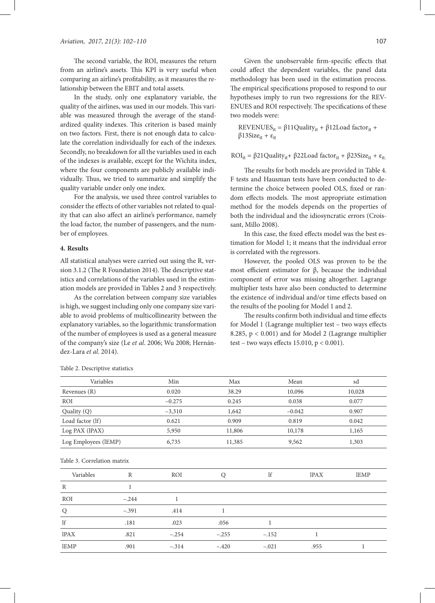The second variable, the ROI, measures the return from an airline's assets. This KPI is very useful when comparing an airline's profitability, as it measures the relationship between the EBIT and total assets.

In the study, only one explanatory variable, the quality of the airlines, was used in our models. This variable was measured through the average of the standardized quality indexes. This criterion is based mainly on two factors. First, there is not enough data to calculate the correlation individually for each of the indexes. Secondly, no breakdown for all the variables used in each of the indexes is available, except for the Wichita index, where the four components are publicly available individually. Thus, we tried to summarize and simplify the quality variable under only one index.

For the analysis, we used three control variables to consider the effects of other variables not related to quality that can also affect an airline's performance, namely the load factor, the number of passengers, and the number of employees.

# **4. Results**

All statistical analyses were carried out using the R, version 3.1.2 (The R Foundation 2014). The descriptive statistics and correlations of the variables used in the estimation models are provided in Tables 2 and 3 respectively.

As the correlation between company size variables is high, we suggest including only one company size variable to avoid problems of multicollinearity between the explanatory variables, so the logarithmic transformation of the number of employees is used as a general measure of the company's size (Le *et al*. 2006; Wu 2008; Hernández-Lara *et al*. 2014).

Given the unobservable firm-specific effects that could affect the dependent variables, the panel data methodology has been used in the estimation process. The empirical specifications proposed to respond to our hypotheses imply to run two regressions for the REV-ENUES and ROI respectively. The specifications of these two models were:

REVENUES<sub>it</sub> =  $\beta$ 11Quality<sub>it</sub> +  $\beta$ 12Load factor<sub>it</sub> + β13Size<sub>it</sub> + ε<sub>it</sub>

ROI<sub>it</sub> = β21Quality<sub>it</sub> + β22Load factor<sub>it</sub> + β23Size<sub>it</sub> + ε<sub>it</sub>.

The results for both models are provided in Table 4. F tests and Hausman tests have been conducted to determine the choice between pooled OLS, fixed or random effects models. The most appropriate estimation method for the models depends on the properties of both the individual and the idiosyncratic errors (Croissant, Millo 2008).

In this case, the fixed effects model was the best estimation for Model 1; it means that the individual error is correlated with the regressors.

However, the pooled OLS was proven to be the most efficient estimator for  $β$ , because the individual component of error was missing altogether. Lagrange multiplier tests have also been conducted to determine the existence of individual and/or time effects based on the results of the pooling for Model 1 and 2.

The results confirm both individual and time effects for Model 1 (Lagrange multiplier test – two ways effects 8.285, p < 0.001) and for Model 2 (Lagrange multiplier test – two ways effects 15.010,  $p < 0.001$ ).

| Variables                   |              | Min          | Max          |         | Mean        | sd          |
|-----------------------------|--------------|--------------|--------------|---------|-------------|-------------|
| Revenues (R)                |              | 0.020        | 38.29        |         | 10,096      | 10,028      |
| ROI                         |              | $-0.275$     | 0.245        |         | 0.038       | 0.077       |
| Quality (Q)                 |              | $-3,310$     | 1,642        |         | $-0.042$    | 0.907       |
| Load factor (lf)            |              | 0.621        | 0.909        |         | 0.819       | 0.042       |
| Log PAX (IPAX)              |              | 5,950        | 11,806       |         | 10,178      | 1,165       |
| Log Employees (lEMP)        |              | 6,735        | 11,385       |         | 9,562       | 1,303       |
| Table 3. Correlation matrix |              |              |              |         |             |             |
| Variables                   | $\mathbb{R}$ | ROI          | Q            | lf      | <b>IPAX</b> | <b>IEMP</b> |
| $\mathbb{R}$                | $\mathbf{1}$ |              |              |         |             |             |
| <b>ROI</b>                  | $-.244$      | $\mathbf{1}$ |              |         |             |             |
| Q                           | $-.391$      | .414         | $\mathbf{1}$ |         |             |             |
| lf                          | .181         | .023         | .056         | 1       |             |             |
| <b>IPAX</b>                 | .821         | $-.254$      | $-.255$      | $-.152$ | 1           |             |
| <b>IEMP</b>                 | .901         | $-.314$      | $-.420$      | $-.021$ | .955        | 1           |

Table 2. Descriptive statistics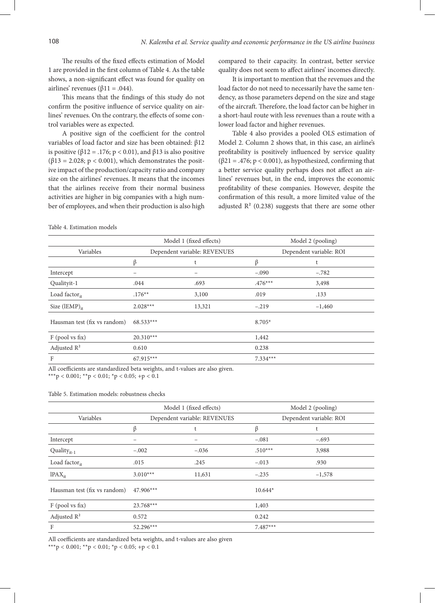The results of the fixed effects estimation of Model 1 are provided in the first column of Table 4. As the table shows, a non-significant effect was found for quality on airlines' revenues (β11 = .044).

This means that the findings of this study do not confirm the positive influence of service quality on airlines' revenues. On the contrary, the effects of some control variables were as expected.

A positive sign of the coefficient for the control variables of load factor and size has been obtained: β12 is positive ( $\beta$ 12 = .176; p < 0.01), and  $\beta$ 13 is also positive ( $\beta$ 13 = 2.028; p < 0.001), which demonstrates the positive impact of the production/capacity ratio and company size on the airlines' revenues. It means that the incomes that the airlines receive from their normal business activities are higher in big companies with a high number of employees, and when their production is also high

compared to their capacity. In contrast, better service quality does not seem to affect airlines' incomes directly.

It is important to mention that the revenues and the load factor do not need to necessarily have the same tendency, as those parameters depend on the size and stage of the aircraft. Therefore, the load factor can be higher in a short-haul route with less revenues than a route with a lower load factor and higher revenues.

Table 4 also provides a pooled OLS estimation of Model 2. Column 2 shows that, in this case, an airline's profitability is positively influenced by service quality  $(\beta 21 = .476; p < 0.001)$ , as hypothesized, confirming that a better service quality perhaps does not affect an airlines' revenues but, in the end, improves the economic profitability of these companies. However, despite the confirmation of this result, a more limited value of the adjusted  $\mathbb{R}^2$  (0.238) suggests that there are some other

Table 4. Estimation models

|                              |                              | Model 1 (fixed effects) | Model 2 (pooling)       |          |  |
|------------------------------|------------------------------|-------------------------|-------------------------|----------|--|
| Variables                    | Dependent variable: REVENUES |                         | Dependent variable: ROI |          |  |
|                              | ß                            |                         | β                       | t        |  |
| Intercept                    |                              |                         | $-.090$                 | $-.782$  |  |
| Qualityit-1                  | .044                         | .693                    | $.476***$               | 3,498    |  |
| Load factor <sub>it</sub>    | $.176**$                     | 3,100                   | .019                    | .133     |  |
| Size $(\text{IEMP})_{it}$    | $2.028***$                   | 13,321                  | $-.219$                 | $-1,460$ |  |
| Hausman test (fix vs random) | $68.533***$                  |                         | $8.705*$                |          |  |
| $F$ (pool vs fix)            | $20.310***$                  |                         | 1,442                   |          |  |
| Adjusted $R^2$               | 0.610                        |                         | 0.238                   |          |  |
| $\mathbf{F}$                 | $67.915***$                  |                         | $7.334***$              |          |  |

All coefficients are standardized beta weights, and t-values are also given.

\*\*\*p < 0.001; \*\*p < 0.01; \*p < 0.05; +p < 0.1

#### Table 5. Estimation models: robustness checks

|                              |                              | Model 1 (fixed effects) | Model 2 (pooling)       |          |  |
|------------------------------|------------------------------|-------------------------|-------------------------|----------|--|
| Variables                    | Dependent variable: REVENUES |                         | Dependent variable: ROI |          |  |
|                              | ß                            |                         | β                       |          |  |
| Intercept                    |                              |                         | $-.081$                 | $-.693$  |  |
| $Quality_{it-1}$             | $-.002$                      | $-.036$                 | $.510***$               | 3,988    |  |
| Load factor $_{it}$          | .015                         | .245                    | $-.013$                 | .930     |  |
| $IPAX_{it}$                  | $3.010***$                   | 11,631                  | $-.235$                 | $-1,578$ |  |
| Hausman test (fix vs random) | $47.906***$                  |                         | $10.644*$               |          |  |
| $F$ (pool vs fix)            | 23.768***                    |                         | 1,403                   |          |  |
| Adjusted $R^2$               | 0.572                        |                         | 0.242                   |          |  |
| F                            | $52.296***$                  |                         | $7.487***$              |          |  |

All coefficients are standardized beta weights, and t-values are also given

\*\*\*p < 0.001; \*\*p < 0.01; \*p < 0.05; +p < 0.1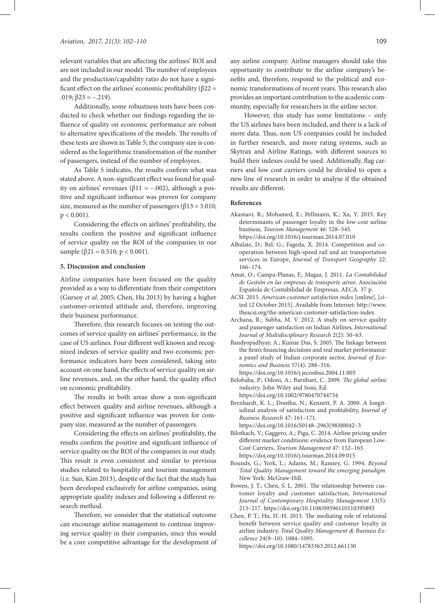relevant variables that are affecting the airlines' ROI and are not included in our model. The number of employees and the production/capability ratio do not have a significant effect on the airlines' economic profitability (β22 = .019;  $β23 = -.219$ ).

Additionally, some robustness tests have been conducted to check whether our findings regarding the influence of quality on economic performance are robust to alternative specifications of the models. The results of these tests are shown in Table 5; the company size is considered as the logarithmic transformation of the number of passengers, instead of the number of employees.

As Table 5 indicates, the results confirm what was stated above. A non-significant effect was found for quality on airlines' revenues ( $β11 = -.002$ ), although a positive and significant influence was proven for company size, measured as the number of passengers ( $\beta$ 13 = 3.010;  $p < 0.001$ ).

Considering the effects on airlines' profitability, the results confirm the positive and significant influence of service quality on the ROI of the companies in our sample ( $\beta$ 21 = 0.510; p < 0.001).

### **5. Discussion and conclusion**

Airline companies have been focused on the quality provided as a way to differentiate from their competitors (Gursoy *et al*. 2005; Chen, Hu 2013) by having a higher customer-oriented attitude and, therefore, improving their business performance.

Therefore, this research focuses on testing the outcomes of service quality on airlines' performance, in the case of US airlines. Four different well known and recognized indexes of service quality and two economic performance indicators have been considered, taking into account on one hand, the effects of service quality on airline revenues, and, on the other hand, the quality effect on economic profitability.

The results in both areas show a non-significant effect between quality and airline revenues, although a positive and significant influence was proven for company size, measured as the number of passengers.

Considering the effects on airlines' profitability, the results confirm the positive and significant influence of service quality on the ROI of the companies in our study. This result is even consistent and similar to previous studies related to hospitality and tourism management (i.e. Sun, Kim 2013), despite of the fact that the study has been developed exclusively for airline companies, using appropriate quality indexes and following a different research method.

Therefore, we consider that the statistical outcome can encourage airline management to continue improving service quality in their companies, since this would be a core competitive advantage for the development of any airline company. Airline managers should take this opportunity to contribute to the airline company's benefits and, therefore, respond to the political and economic transformations of recent years. This research also provides an important contribution to the academic community, especially for researchers in the airline sector.

However, this study has some limitations – only the US airlines have been included, and there is a lack of more data. Thus, non US companies could be included in further research, and more rating systems, such as Skytrax and Airline Ratings, with different sources to build their indexes could be used. Additionally, flag carriers and low cost carriers could be divided to open a new line of research in order to analyse if the obtained results are different.

#### **References**

- Akamavi, R.; Mohamed, E.; Pellmann, K.; Xu, Y. 2015. Key determinants of passenger loyalty in the low-cost airline business, *Tourism Management* 46: 528–545. https://doi.org/10.1016/j.tourman.2014.07.010
- Albalate, D.; Bel, G.; Fageda, X. 2014. Competition and cooperation between high-speed rail and air transportation services in Europe, *Journal of Transport Geography* 22: 166–174.
- Amat, O.; Campa-Planas, F.; Magaz, J. 2011. *La Contabilidad de Gestión en las empresas de transporte aéreo*. Asociación Española de Contabilidad de Empresas, AECA. 37 p.
- ACSI. 2015. *American customer satisfaction index* [online], [cited 12 October 2015]. Available from Internet: http://www. theacsi.org/the-american-customer-satisfaction-index
- Archana, R.; Subha, M. V. 2012. A study on service quality and passenger satisfaction on Indian Airlines*, International Journal of Multidisciplinary Research* 2(2): 50–63.
- Bandyopadhyay, A.; Kumar Das, S. 2005. The linkage between the firm's financing decisions and real market performance: a panel study of Indian corporate sector, *Journal of Economics and Business* 57(4): 288–316. https://doi.org/10.1016/j.jeconbus.2004.11.005
- Belobaba, P.; Odoni, A.; Barnhart, C. 2009. *The global airline industry*. John Wiley and Sons, Ed.
- https://doi.org/10.1002/9780470744734 Bernhardt, K. L.; Donthu, N.; Kennett, P. A. 2000. A longitudinal analysis of satisfaction and profitability, *Journal of Business Research* 47: 161–171.
- https://doi.org/10.1016/S0148–2963(98)00042–3 Bilotkach, V.; Gaggero, A.; Piga, C. 2014. Airline pricing under different market conditions: evidence from European Low-Cost Carriers, *Tourism Management* 47: 152–163. https://doi.org/10.1016/j.tourman.2014.09.015
- Bounds, G.; York, L.; Adams, M.; Ranney, G. 1994. *Beyond Total Quality Management toward the emerging paradigm*. New York: McGraw-Hill.
- Bowen, J. T.; Chen, S. L. 2001. The relationship between customer loyalty and customer satisfaction, *International Journal of Contemporary Hospitality Management* 13(5): 213–217. https://doi.org/10.1108/09596110110395893
- Chen, P. T.; Hu, H.-H. 2013. The mediating role of relational benefit between service quality and customer loyalty in airline industry, *Total Quality Management & Business Excellence* 24(9–10): 1084–1095. https://doi.org/10.1080/14783363.2012.661130